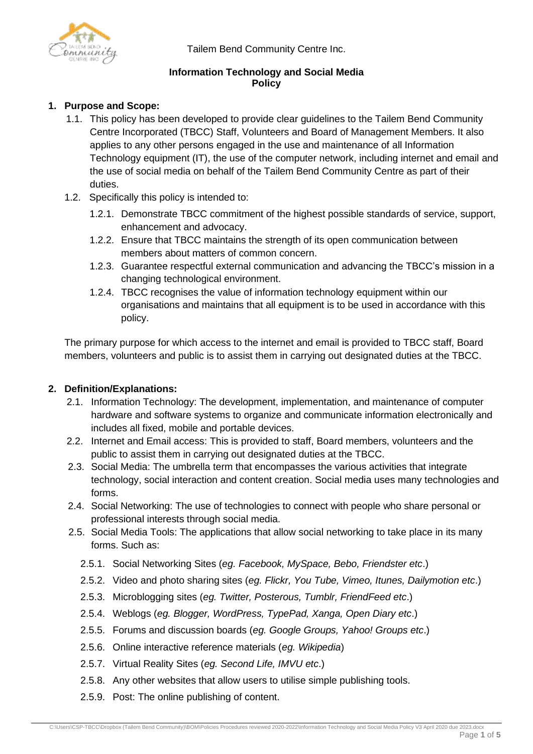Tailem Bend Community Centre Inc.



## **Information Technology and Social Media Policy**

# **1. Purpose and Scope:**

- 1.1. This policy has been developed to provide clear guidelines to the Tailem Bend Community Centre Incorporated (TBCC) Staff, Volunteers and Board of Management Members. It also applies to any other persons engaged in the use and maintenance of all Information Technology equipment (IT), the use of the computer network, including internet and email and the use of social media on behalf of the Tailem Bend Community Centre as part of their duties.
- 1.2. Specifically this policy is intended to:
	- 1.2.1. Demonstrate TBCC commitment of the highest possible standards of service, support, enhancement and advocacy.
	- 1.2.2. Ensure that TBCC maintains the strength of its open communication between members about matters of common concern.
	- 1.2.3. Guarantee respectful external communication and advancing the TBCC's mission in a changing technological environment.
	- 1.2.4. TBCC recognises the value of information technology equipment within our organisations and maintains that all equipment is to be used in accordance with this policy.

The primary purpose for which access to the internet and email is provided to TBCC staff, Board members, volunteers and public is to assist them in carrying out designated duties at the TBCC.

## **2. Definition/Explanations:**

- 2.1. Information Technology: The development, implementation, and maintenance of computer hardware and software systems to organize and communicate information electronically and includes all fixed, mobile and portable devices.
- 2.2. Internet and Email access: This is provided to staff, Board members, volunteers and the public to assist them in carrying out designated duties at the TBCC.
- 2.3. Social Media: The umbrella term that encompasses the various activities that integrate technology, social interaction and content creation. Social media uses many technologies and forms.
- 2.4. Social Networking: The use of technologies to connect with people who share personal or professional interests through social media.
- 2.5. Social Media Tools: The applications that allow social networking to take place in its many forms. Such as:
	- 2.5.1. Social Networking Sites (*eg. Facebook, MySpace, Bebo, Friendster etc*.)
	- 2.5.2. Video and photo sharing sites (*eg. Flickr, You Tube, Vimeo, Itunes, Dailymotion etc*.)
	- 2.5.3. Microblogging sites (*eg. Twitter, Posterous, Tumblr, FriendFeed etc*.)
	- 2.5.4. Weblogs (*eg. Blogger, WordPress, TypePad, Xanga, Open Diary etc*.)
	- 2.5.5. Forums and discussion boards (*eg. Google Groups, Yahoo! Groups etc*.)
	- 2.5.6. Online interactive reference materials (*eg. Wikipedia*)
	- 2.5.7. Virtual Reality Sites (*eg. Second Life, IMVU etc*.)
	- 2.5.8. Any other websites that allow users to utilise simple publishing tools.
	- 2.5.9. Post: The online publishing of content.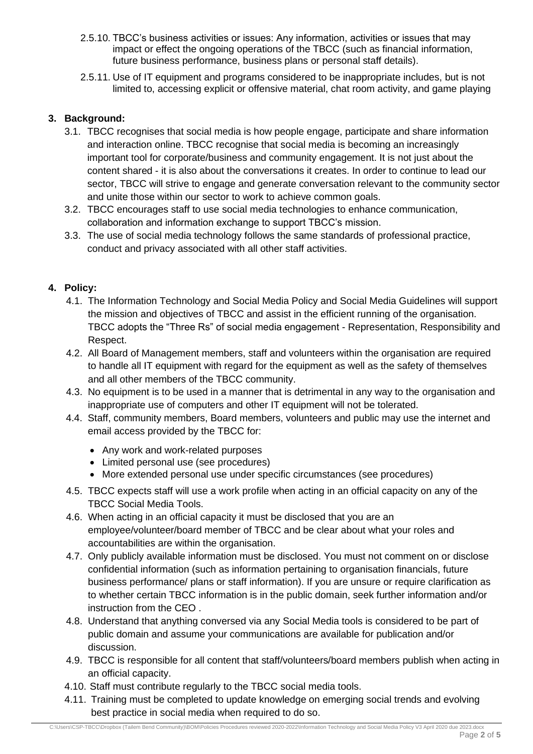- 2.5.10. TBCC's business activities or issues: Any information, activities or issues that may impact or effect the ongoing operations of the TBCC (such as financial information, future business performance, business plans or personal staff details).
- 2.5.11. Use of IT equipment and programs considered to be inappropriate includes, but is not limited to, accessing explicit or offensive material, chat room activity, and game playing

### **3. Background:**

- 3.1. TBCC recognises that social media is how people engage, participate and share information and interaction online. TBCC recognise that social media is becoming an increasingly important tool for corporate/business and community engagement. It is not just about the content shared - it is also about the conversations it creates. In order to continue to lead our sector, TBCC will strive to engage and generate conversation relevant to the community sector and unite those within our sector to work to achieve common goals.
- 3.2. TBCC encourages staff to use social media technologies to enhance communication, collaboration and information exchange to support TBCC's mission.
- 3.3. The use of social media technology follows the same standards of professional practice, conduct and privacy associated with all other staff activities.

### **4. Policy:**

- 4.1. The Information Technology and Social Media Policy and Social Media Guidelines will support the mission and objectives of TBCC and assist in the efficient running of the organisation. TBCC adopts the "Three Rs" of social media engagement - Representation, Responsibility and Respect.
- 4.2. All Board of Management members, staff and volunteers within the organisation are required to handle all IT equipment with regard for the equipment as well as the safety of themselves and all other members of the TBCC community.
- 4.3. No equipment is to be used in a manner that is detrimental in any way to the organisation and inappropriate use of computers and other IT equipment will not be tolerated.
- 4.4. Staff, community members, Board members, volunteers and public may use the internet and email access provided by the TBCC for:
	- Any work and work-related purposes
	- Limited personal use (see procedures)
	- More extended personal use under specific circumstances (see procedures)
- 4.5. TBCC expects staff will use a work profile when acting in an official capacity on any of the TBCC Social Media Tools.
- 4.6. When acting in an official capacity it must be disclosed that you are an employee/volunteer/board member of TBCC and be clear about what your roles and accountabilities are within the organisation.
- 4.7. Only publicly available information must be disclosed. You must not comment on or disclose confidential information (such as information pertaining to organisation financials, future business performance/ plans or staff information). If you are unsure or require clarification as to whether certain TBCC information is in the public domain, seek further information and/or instruction from the CEO .
- 4.8. Understand that anything conversed via any Social Media tools is considered to be part of public domain and assume your communications are available for publication and/or discussion.
- 4.9. TBCC is responsible for all content that staff/volunteers/board members publish when acting in an official capacity.
- 4.10. Staff must contribute regularly to the TBCC social media tools.
- 4.11. Training must be completed to update knowledge on emerging social trends and evolving best practice in social media when required to do so.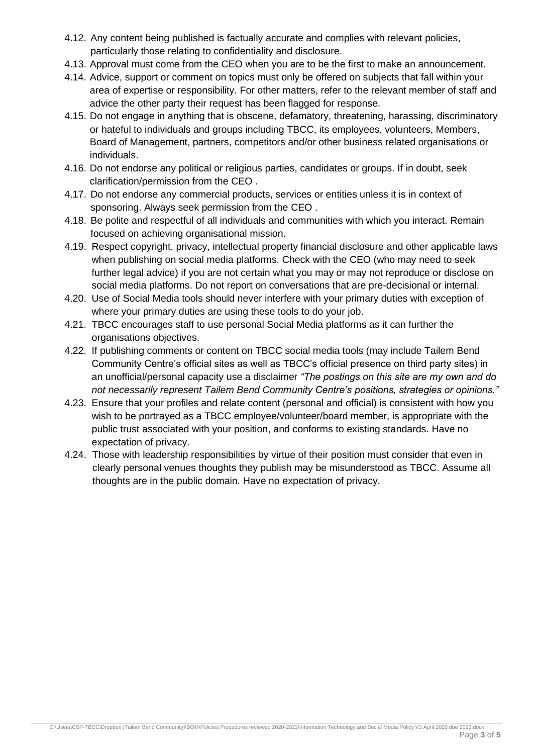- 4.12. Any content being published is factually accurate and complies with relevant policies, particularly those relating to confidentiality and disclosure.
- 4.13. Approval must come from the CEO when you are to be the first to make an announcement.
- 4.14. Advice, support or comment on topics must only be offered on subjects that fall within your area of expertise or responsibility. For other matters, refer to the relevant member of staff and advice the other party their request has been flagged for response.
- 4.15. Do not engage in anything that is obscene, defamatory, threatening, harassing, discriminatory or hateful to individuals and groups including TBCC, its employees, volunteers, Members, Board of Management, partners, competitors and/or other business related organisations or individuals.
- 4.16. Do not endorse any political or religious parties, candidates or groups. If in doubt, seek clarification/permission from the CEO .
- 4.17. Do not endorse any commercial products, services or entities unless it is in context of sponsoring. Always seek permission from the CEO .
- 4.18. Be polite and respectful of all individuals and communities with which you interact. Remain focused on achieving organisational mission.
- 4.19. Respect copyright, privacy, intellectual property financial disclosure and other applicable laws when publishing on social media platforms. Check with the CEO (who may need to seek further legal advice) if you are not certain what you may or may not reproduce or disclose on social media platforms. Do not report on conversations that are pre-decisional or internal.
- 4.20. Use of Social Media tools should never interfere with your primary duties with exception of where your primary duties are using these tools to do your job.
- 4.21. TBCC encourages staff to use personal Social Media platforms as it can further the organisations objectives.
- 4.22. If publishing comments or content on TBCC social media tools (may include Tailem Bend Community Centre's official sites as well as TBCC's official presence on third party sites) in an unofficial/personal capacity use a disclaimer *"The postings on this site are my own and do not necessarily represent Tailem Bend Community Centre's positions, strategies or opinions."*
- 4.23. Ensure that your profiles and relate content (personal and official) is consistent with how you wish to be portrayed as a TBCC employee/volunteer/board member, is appropriate with the public trust associated with your position, and conforms to existing standards. Have no expectation of privacy.
- 4.24. Those with leadership responsibilities by virtue of their position must consider that even in clearly personal venues thoughts they publish may be misunderstood as TBCC. Assume all thoughts are in the public domain. Have no expectation of privacy.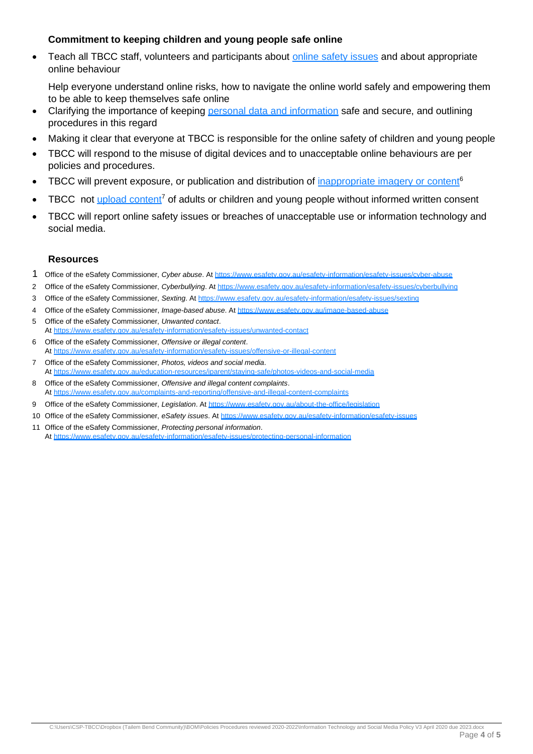#### **Commitment to keeping children and young people safe online**

Teach all TBCC staff, volunteers and participants about [online safety issues](https://www.esafety.gov.au/esafety-information/esafety-issues) and about appropriate online behaviour

Help everyone understand online risks, how to navigate the online world safely and empowering them to be able to keep themselves safe online

- Clarifying the importance of keeping [personal data and information](https://www.esafety.gov.au/esafety-information/esafety-issues/protecting-personal-information) safe and secure, and outlining procedures in this regard
- Making it clear that everyone at TBCC is responsible for the online safety of children and young people
- TBCC will respond to the misuse of digital devices and to unacceptable online behaviours are per policies and procedures.
- TBCC will prevent exposure, or publication and distribution of *inappropriate imagery or content<sup>6</sup>*
- TBCC not [upload content](https://www.esafety.gov.au/education-resources/iparent/staying-safe/photos-videos-and-social-media)<sup>7</sup> of adults or children and young people without informed written consent
- TBCC will report online safety issues or breaches of unacceptable use or information technology and social media.

#### **Resources**

- 1 Office of the eSafety Commissioner, *Cyber abuse*. At<https://www.esafety.gov.au/esafety-information/esafety-issues/cyber-abuse>
- 2 Office of the eSafety Commissioner, *Cyberbullying*. At<https://www.esafety.gov.au/esafety-information/esafety-issues/cyberbullying>
- 3 Office of the eSafety Commissioner, *Sexting*. A[t https://www.esafety.gov.au/esafety-information/esafety-issues/sexting](https://www.esafety.gov.au/esafety-information/esafety-issues/sexting)
- 4 Office of the eSafety Commissioner, *Image-based abuse*. A[t https://www.esafety.gov.au/image-based-abuse](file:///C:/Users/meredithevans/Documents/Clients/AHRC.Australian%20Human%20Rights%20Commission/AHRC.4130.Child%20Safe%20Organisation%20(Tranche%201%20x%203%20documents)/output%202018-11-30-1400%20Word%20-%20Checklist%20for%20online%20safety/At%20https:/www.esafety.gov.au/image-based-abuse)
- 5 Office of the eSafety Commissioner, *Unwanted contact*. At<https://www.esafety.gov.au/esafety-information/esafety-issues/unwanted-contact>
- 6 Office of the eSafety Commissioner, *Offensive or illegal content*. At<https://www.esafety.gov.au/esafety-information/esafety-issues/offensive-or-illegal-content>
- 7 Office of the eSafety Commissioner, *Photos, videos and social media*. At<https://www.esafety.gov.au/education-resources/iparent/staying-safe/photos-videos-and-social-media>
- 8 Office of the eSafety Commissioner, *Offensive and illegal content complaints*. At<https://www.esafety.gov.au/complaints-and-reporting/offensive-and-illegal-content-complaints>
- 9 Office of the eSafety Commissioner, *Legislation*. At<https://www.esafety.gov.au/about-the-office/legislation>
- 10 Office of the eSafety Commissioner, *eSafety issues*. A[t https://www.esafety.gov.au/esafety-information/esafety-issues](https://www.esafety.gov.au/esafety-information/esafety-issues)
- 11 Office of the eSafety Commissioner, *Protecting personal information*. At<https://www.esafety.gov.au/esafety-information/esafety-issues/protecting-personal-information>